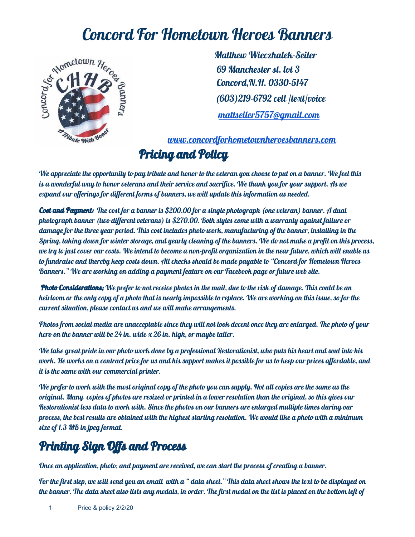

Concord For Hometown Heroes Banners<br>
Matthew Wieczhalek-Seiler<br>
So Manchester st. lot 3<br>
So CH H S Matthew Wieczhalek-Seiler 69 Manchester st. lot 3 Concord,N.H. 0330-5147 (603)219-6792 cell /text/voice [mattseiler5757@gmail.com](mailto:mattseiler5757@gmail.com)

> [www.concordforhometownheroesbanners.com](http://www.concordforhometownheroesbanners.com/) Pricing and Policy

We appreciate the opportunity to pay tribute and honor to the veteran you choose to put on a banner. We feel this is a wonderful way to honor veterans and their service and sacrifice. We thank you for your support. As we expand our offerings for different forms of banners, we will update this information as needed.

Cost and Payment: The cost for a banner is \$200.00 for a single photograph (one veteran) banner. A dual photograph banner (two different veterans) is \$270.00. Both styles come with a warranty against failure or damage for the three year period. This cost includes photo work, manufacturing of the banner, installing in the Spring, taking down for winter storage, and yearly cleaning of the banners. We do not make a profit on this process, we try to just cover our costs. We intend to become a non-profit organization in the near future, which will enable us to fundraise and thereby keep costs down. All checks should be made payable to "Concord for Hometown Heroes Banners." We are working on adding a payment feature on our Facebook page or future web site.

Photo Considerations; We prefer to not receive photos in the mail, due to the risk of damage. This could be an heirloom or the only copy of a photo that is nearly impossible to replace. We are working on this issue, so for the current situation, please contact us and we will make arrangements.

Photos from social media are unacceptable since they will not look decent once they are enlarged. The photo of your hero on the banner will be 24 in. wide  $x$  26 in. high, or maybe taller.

We take great pride in our photo work done by a professional Restorationist, who puts his heart and soul into his work. He works on a contract price for us and his support makes it possible for us to keep our prices affordable, and it is the same with our commercial printer.

We prefer to work with the most original copy of the photo you can supply. Not all copies are the same as the original. Many copies of photos are resized or printed in a lower resolution than the original, so this gives our Restorationist less data to work with. Since the photos on our banners are enlarged multiple times during our process, the best results are obtained with the highest starting resolution. We would like a photo with a minimum size of 1.3 MB in jpeg format.

## Printing Sign Offs and Process

Once an application, photo, and payment are received, we can start the process of creating a banner.

For the first step, we will send you an email with a " data sheet." This data sheet shows the text to be displayed on the banner. The data sheet also lists any medals, in order. The first medal on the list is placed on the bottom left of